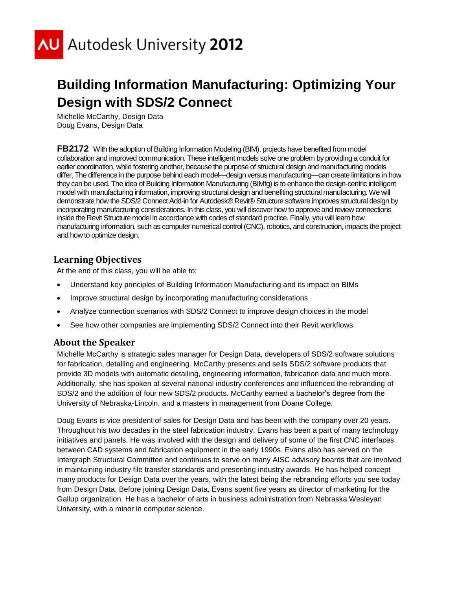

# **Building Information Manufacturing: Optimizing Your Design with SDS/2 Connect**

Michelle McCarthy, Design Data Doug Evans, Design Data

**FB2172** With the adoption of Building Information Modeling (BIM), projects have benefited from model collaboration and improved communication. These intelligent models solve one problem by providing a conduit for earlier coordination, while fostering another, because the purpose of structural design and manufacturing models differ. The difference in the purpose behind each model—design versus manufacturing—can create limitations in how they can be used. The idea of Building Information Manufacturing (BIMfg) is to enhance the design-centric intelligent model with manufacturing information, improving structural design and benefiting structural manufacturing. We will demonstrate how the SDS/2 Connect Add-in for Autodesk® Revit® Structure software improves structural design by incorporating manufacturing considerations. In this class, you will discover how to approve and review connections inside the Revit Structure model in accordance with codes of standard practice. Finally, you will learn how manufacturing information, such as computer numerical control (CNC), robotics, and construction, impacts the project and how to optimize design.

# **Learning Objectives**

At the end of this class, you will be able to:

- Understand key principles of Building Information Manufacturing and its impact on BIMs
- Improve structural design by incorporating manufacturing considerations
- Analyze connection scenarios with SDS/2 Connect to improve design choices in the model
- See how other companies are implementing SDS/2 Connect into their Revit workflows

# **About the Speaker**

Michelle McCarthy is strategic sales manager for Design Data, developers of SDS/2 software solutions for fabrication, detailing and engineering. McCarthy presents and sells SDS/2 software products that provide 3D models with automatic detailing, engineering information, fabrication data and much more. Additionally, she has spoken at several national industry conferences and influenced the rebranding of SDS/2 and the addition of four new SDS/2 products. McCarthy earned a bachelor's degree from the University of Nebraska-Lincoln, and a masters in management from Doane College.

Doug Evans is vice president of sales for Design Data and has been with the company over 20 years. Throughout his two decades in the steel fabrication industry, Evans has been a part of many technology initiatives and panels. He was involved with the design and delivery of some of the first CNC interfaces between CAD systems and fabrication equipment in the early 1990s. Evans also has served on the Intergraph Structural Committee and continues to serve on many AISC advisory boards that are involved in maintaining industry file transfer standards and presenting industry awards. He has helped concept many products for Design Data over the years, with the latest being the rebranding efforts you see today from Design Data. Before joining Design Data, Evans spent five years as director of marketing for the Gallup organization. He has a bachelor of arts in business administration from Nebraska Wesleyan University, with a minor in computer science.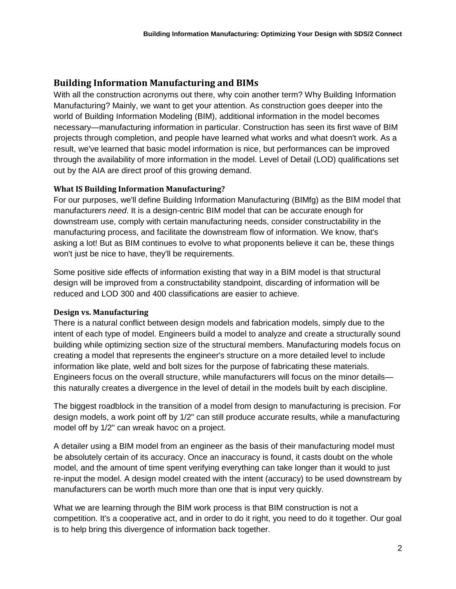# **Building Information Manufacturing and BIMs**

With all the construction acronyms out there, why coin another term? Why Building Information Manufacturing? Mainly, we want to get your attention. As construction goes deeper into the world of Building Information Modeling (BIM), additional information in the model becomes necessary—manufacturing information in particular. Construction has seen its first wave of BIM projects through completion, and people have learned what works and what doesn't work. As a result, we've learned that basic model information is nice, but performances can be improved through the availability of more information in the model. Level of Detail (LOD) qualifications set out by the AIA are direct proof of this growing demand.

# **What IS Building Information Manufacturing?**

For our purposes, we'll define Building Information Manufacturing (BIMfg) as the BIM model that manufacturers *need*. It is a design-centric BIM model that can be accurate enough for downstream use, comply with certain manufacturing needs, consider constructability in the manufacturing process, and facilitate the downstream flow of information. We know, that's asking a lot! But as BIM continues to evolve to what proponents believe it can be, these things won't just be nice to have, they'll be requirements.

Some positive side effects of information existing that way in a BIM model is that structural design will be improved from a constructability standpoint, discarding of information will be reduced and LOD 300 and 400 classifications are easier to achieve.

# **Design vs. Manufacturing**

There is a natural conflict between design models and fabrication models, simply due to the intent of each type of model. Engineers build a model to analyze and create a structurally sound building while optimizing section size of the structural members. Manufacturing models focus on creating a model that represents the engineer's structure on a more detailed level to include information like plate, weld and bolt sizes for the purpose of fabricating these materials. Engineers focus on the overall structure, while manufacturers will focus on the minor details this naturally creates a divergence in the level of detail in the models built by each discipline.

The biggest roadblock in the transition of a model from design to manufacturing is precision. For design models, a work point off by 1/2" can still produce accurate results, while a manufacturing model off by 1/2" can wreak havoc on a project.

A detailer using a BIM model from an engineer as the basis of their manufacturing model must be absolutely certain of its accuracy. Once an inaccuracy is found, it casts doubt on the whole model, and the amount of time spent verifying everything can take longer than it would to just re-input the model. A design model created with the intent (accuracy) to be used downstream by manufacturers can be worth much more than one that is input very quickly.

What we are learning through the BIM work process is that BIM construction is not a competition. It's a cooperative act, and in order to do it right, you need to do it together. Our goal is to help bring this divergence of information back together.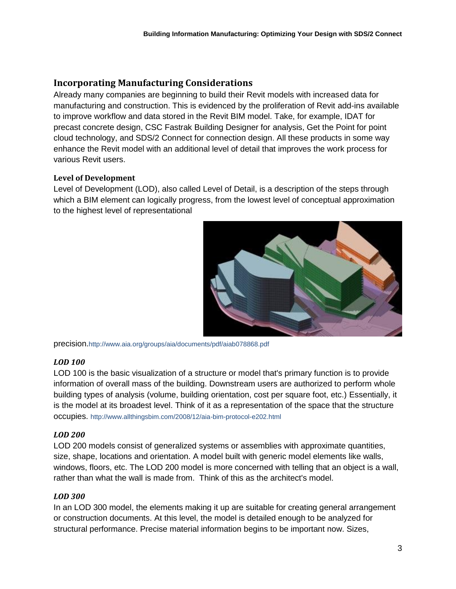# **Incorporating Manufacturing Considerations**

Already many companies are beginning to build their Revit models with increased data for manufacturing and construction. This is evidenced by the proliferation of Revit add-ins available to improve workflow and data stored in the Revit BIM model. Take, for example, IDAT for precast concrete design, CSC Fastrak Building Designer for analysis, Get the Point for point cloud technology, and SDS/2 Connect for connection design. All these products in some way enhance the Revit model with an additional level of detail that improves the work process for various Revit users.

# **Level of Development**

Level of Development (LOD), also called Level of Detail, is a description of the steps through which a BIM element can logically progress, from the lowest level of conceptual approximation to the highest level of representational



precision.http://www.aia.org/groups/aia/documents/pdf/aiab078868.pdf

# *LOD 100*

LOD 100 is the basic visualization of a structure or model that's primary function is to provide information of overall mass of the building. Downstream users are authorized to perform whole building types of analysis (volume, building orientation, cost per square foot, etc.) Essentially, it is the model at its broadest level. Think of it as a representation of the space that the structure occupies. http://www.allthingsbim.com/2008/12/aia-bim-protocol-e202.html

# *LOD 200*

LOD 200 models consist of generalized systems or assemblies with approximate quantities, size, shape, locations and orientation. A model built with generic model elements like walls, windows, floors, etc. The LOD 200 model is more concerned with telling that an object is a wall, rather than what the wall is made from. Think of this as the architect's model.

# *LOD 300*

In an LOD 300 model, the elements making it up are suitable for creating general arrangement or construction documents. At this level, the model is detailed enough to be analyzed for structural performance. Precise material information begins to be important now. Sizes,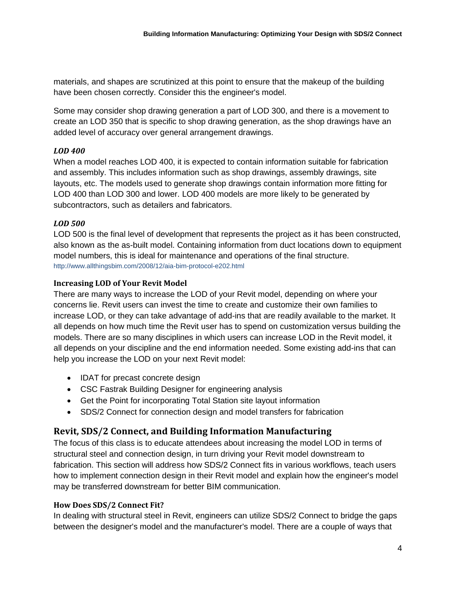materials, and shapes are scrutinized at this point to ensure that the makeup of the building have been chosen correctly. Consider this the engineer's model.

Some may consider shop drawing generation a part of LOD 300, and there is a movement to create an LOD 350 that is specific to shop drawing generation, as the shop drawings have an added level of accuracy over general arrangement drawings.

# *LOD 400*

When a model reaches LOD 400, it is expected to contain information suitable for fabrication and assembly. This includes information such as shop drawings, assembly drawings, site layouts, etc. The models used to generate shop drawings contain information more fitting for LOD 400 than LOD 300 and lower. LOD 400 models are more likely to be generated by subcontractors, such as detailers and fabricators.

#### *LOD 500*

LOD 500 is the final level of development that represents the project as it has been constructed, also known as the as-built model. Containing information from duct locations down to equipment model numbers, this is ideal for maintenance and operations of the final structure. http://www.allthingsbim.com/2008/12/aia-bim-protocol-e202.html

#### **Increasing LOD of Your Revit Model**

There are many ways to increase the LOD of your Revit model, depending on where your concerns lie. Revit users can invest the time to create and customize their own families to increase LOD, or they can take advantage of add-ins that are readily available to the market. It all depends on how much time the Revit user has to spend on customization versus building the models. There are so many disciplines in which users can increase LOD in the Revit model, it all depends on your discipline and the end information needed. Some existing add-ins that can help you increase the LOD on your next Revit model:

- IDAT for precast concrete design
- CSC Fastrak Building Designer for engineering analysis
- Get the Point for incorporating Total Station site layout information
- SDS/2 Connect for connection design and model transfers for fabrication

# **Revit, SDS/2 Connect, and Building Information Manufacturing**

The focus of this class is to educate attendees about increasing the model LOD in terms of structural steel and connection design, in turn driving your Revit model downstream to fabrication. This section will address how SDS/2 Connect fits in various workflows, teach users how to implement connection design in their Revit model and explain how the engineer's model may be transferred downstream for better BIM communication.

#### **How Does SDS/2 Connect Fit?**

In dealing with structural steel in Revit, engineers can utilize SDS/2 Connect to bridge the gaps between the designer's model and the manufacturer's model. There are a couple of ways that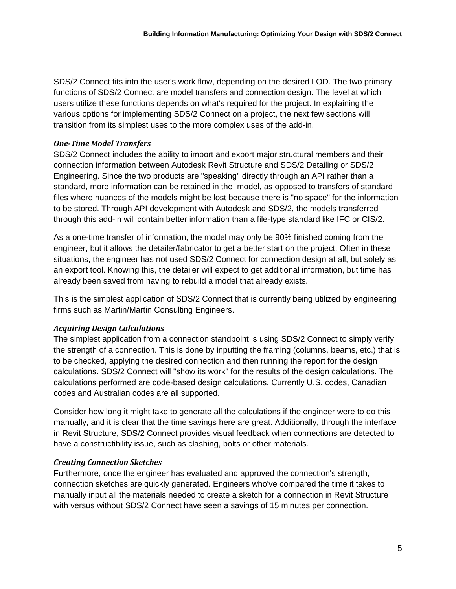SDS/2 Connect fits into the user's work flow, depending on the desired LOD. The two primary functions of SDS/2 Connect are model transfers and connection design. The level at which users utilize these functions depends on what's required for the project. In explaining the various options for implementing SDS/2 Connect on a project, the next few sections will transition from its simplest uses to the more complex uses of the add-in.

#### *One-Time Model Transfers*

SDS/2 Connect includes the ability to import and export major structural members and their connection information between Autodesk Revit Structure and SDS/2 Detailing or SDS/2 Engineering. Since the two products are "speaking" directly through an API rather than a standard, more information can be retained in the model, as opposed to transfers of standard files where nuances of the models might be lost because there is "no space" for the information to be stored. Through API development with Autodesk and SDS/2, the models transferred through this add-in will contain better information than a file-type standard like IFC or CIS/2.

As a one-time transfer of information, the model may only be 90% finished coming from the engineer, but it allows the detailer/fabricator to get a better start on the project. Often in these situations, the engineer has not used SDS/2 Connect for connection design at all, but solely as an export tool. Knowing this, the detailer will expect to get additional information, but time has already been saved from having to rebuild a model that already exists.

This is the simplest application of SDS/2 Connect that is currently being utilized by engineering firms such as Martin/Martin Consulting Engineers.

# *Acquiring Design Calculations*

The simplest application from a connection standpoint is using SDS/2 Connect to simply verify the strength of a connection. This is done by inputting the framing (columns, beams, etc.) that is to be checked, applying the desired connection and then running the report for the design calculations. SDS/2 Connect will "show its work" for the results of the design calculations. The calculations performed are code-based design calculations. Currently U.S. codes, Canadian codes and Australian codes are all supported.

Consider how long it might take to generate all the calculations if the engineer were to do this manually, and it is clear that the time savings here are great. Additionally, through the interface in Revit Structure, SDS/2 Connect provides visual feedback when connections are detected to have a constructibility issue, such as clashing, bolts or other materials.

# *Creating Connection Sketches*

Furthermore, once the engineer has evaluated and approved the connection's strength, connection sketches are quickly generated. Engineers who've compared the time it takes to manually input all the materials needed to create a sketch for a connection in Revit Structure with versus without SDS/2 Connect have seen a savings of 15 minutes per connection.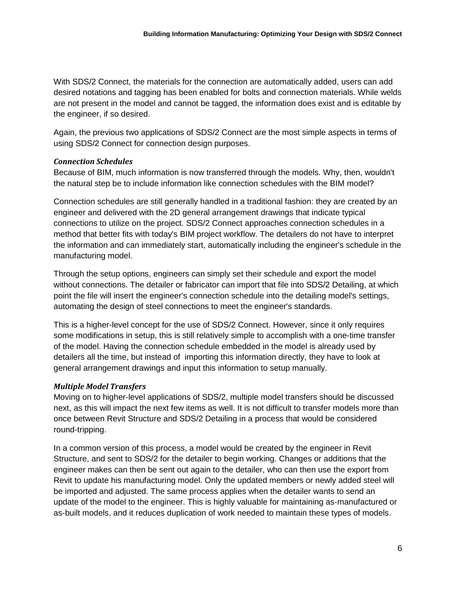With SDS/2 Connect, the materials for the connection are automatically added, users can add desired notations and tagging has been enabled for bolts and connection materials. While welds are not present in the model and cannot be tagged, the information does exist and is editable by the engineer, if so desired.

Again, the previous two applications of SDS/2 Connect are the most simple aspects in terms of using SDS/2 Connect for connection design purposes.

# *Connection Schedules*

Because of BIM, much information is now transferred through the models. Why, then, wouldn't the natural step be to include information like connection schedules with the BIM model?

Connection schedules are still generally handled in a traditional fashion: they are created by an engineer and delivered with the 2D general arrangement drawings that indicate typical connections to utilize on the project. SDS/2 Connect approaches connection schedules in a method that better fits with today's BIM project workflow. The detailers do not have to interpret the information and can immediately start, automatically including the engineer's schedule in the manufacturing model.

Through the setup options, engineers can simply set their schedule and export the model without connections. The detailer or fabricator can import that file into SDS/2 Detailing, at which point the file will insert the engineer's connection schedule into the detailing model's settings, automating the design of steel connections to meet the engineer's standards.

This is a higher-level concept for the use of SDS/2 Connect. However, since it only requires some modifications in setup, this is still relatively simple to accomplish with a one-time transfer of the model. Having the connection schedule embedded in the model is already used by detailers all the time, but instead of importing this information directly, they have to look at general arrangement drawings and input this information to setup manually.

# *Multiple Model Transfers*

Moving on to higher-level applications of SDS/2, multiple model transfers should be discussed next, as this will impact the next few items as well. It is not difficult to transfer models more than once between Revit Structure and SDS/2 Detailing in a process that would be considered round-tripping.

In a common version of this process, a model would be created by the engineer in Revit Structure, and sent to SDS/2 for the detailer to begin working. Changes or additions that the engineer makes can then be sent out again to the detailer, who can then use the export from Revit to update his manufacturing model. Only the updated members or newly added steel will be imported and adjusted. The same process applies when the detailer wants to send an update of the model to the engineer. This is highly valuable for maintaining as-manufactured or as-built models, and it reduces duplication of work needed to maintain these types of models.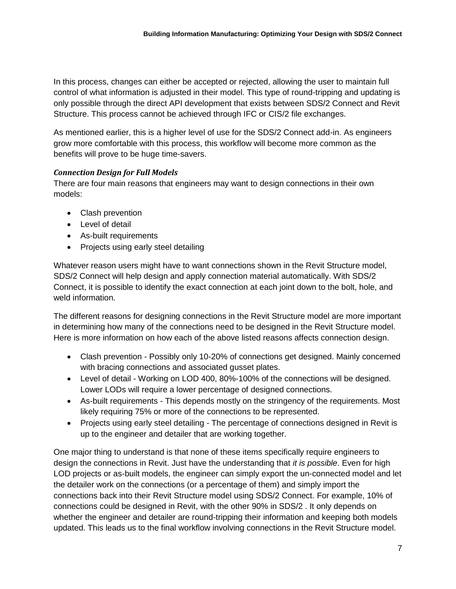In this process, changes can either be accepted or rejected, allowing the user to maintain full control of what information is adjusted in their model. This type of round-tripping and updating is only possible through the direct API development that exists between SDS/2 Connect and Revit Structure. This process cannot be achieved through IFC or CIS/2 file exchanges.

As mentioned earlier, this is a higher level of use for the SDS/2 Connect add-in. As engineers grow more comfortable with this process, this workflow will become more common as the benefits will prove to be huge time-savers.

#### *Connection Design for Full Models*

There are four main reasons that engineers may want to design connections in their own models:

- Clash prevention
- Level of detail
- As-built requirements
- Projects using early steel detailing

Whatever reason users might have to want connections shown in the Revit Structure model, SDS/2 Connect will help design and apply connection material automatically. With SDS/2 Connect, it is possible to identify the exact connection at each joint down to the bolt, hole, and weld information.

The different reasons for designing connections in the Revit Structure model are more important in determining how many of the connections need to be designed in the Revit Structure model. Here is more information on how each of the above listed reasons affects connection design.

- Clash prevention Possibly only 10-20% of connections get designed. Mainly concerned with bracing connections and associated gusset plates.
- Level of detail Working on LOD 400, 80%-100% of the connections will be designed. Lower LODs will require a lower percentage of designed connections.
- As-built requirements This depends mostly on the stringency of the requirements. Most likely requiring 75% or more of the connections to be represented.
- Projects using early steel detailing The percentage of connections designed in Revit is up to the engineer and detailer that are working together.

One major thing to understand is that none of these items specifically require engineers to design the connections in Revit. Just have the understanding that *it is possible*. Even for high LOD projects or as-built models, the engineer can simply export the un-connected model and let the detailer work on the connections (or a percentage of them) and simply import the connections back into their Revit Structure model using SDS/2 Connect. For example, 10% of connections could be designed in Revit, with the other 90% in SDS/2 . It only depends on whether the engineer and detailer are round-tripping their information and keeping both models updated. This leads us to the final workflow involving connections in the Revit Structure model.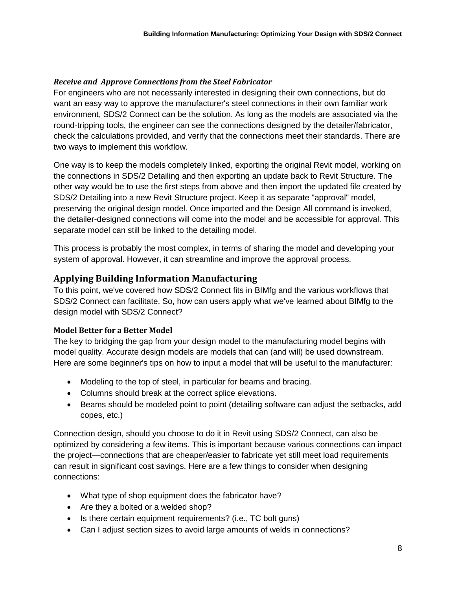#### *Receive and Approve Connections from the Steel Fabricator*

For engineers who are not necessarily interested in designing their own connections, but do want an easy way to approve the manufacturer's steel connections in their own familiar work environment, SDS/2 Connect can be the solution. As long as the models are associated via the round-tripping tools, the engineer can see the connections designed by the detailer/fabricator, check the calculations provided, and verify that the connections meet their standards. There are two ways to implement this workflow.

One way is to keep the models completely linked, exporting the original Revit model, working on the connections in SDS/2 Detailing and then exporting an update back to Revit Structure. The other way would be to use the first steps from above and then import the updated file created by SDS/2 Detailing into a new Revit Structure project. Keep it as separate "approval" model, preserving the original design model. Once imported and the Design All command is invoked, the detailer-designed connections will come into the model and be accessible for approval. This separate model can still be linked to the detailing model.

This process is probably the most complex, in terms of sharing the model and developing your system of approval. However, it can streamline and improve the approval process.

# **Applying Building Information Manufacturing**

To this point, we've covered how SDS/2 Connect fits in BIMfg and the various workflows that SDS/2 Connect can facilitate. So, how can users apply what we've learned about BIMfg to the design model with SDS/2 Connect?

#### **Model Better for a Better Model**

The key to bridging the gap from your design model to the manufacturing model begins with model quality. Accurate design models are models that can (and will) be used downstream. Here are some beginner's tips on how to input a model that will be useful to the manufacturer:

- Modeling to the top of steel, in particular for beams and bracing.
- Columns should break at the correct splice elevations.
- Beams should be modeled point to point (detailing software can adjust the setbacks, add copes, etc.)

Connection design, should you choose to do it in Revit using SDS/2 Connect, can also be optimized by considering a few items. This is important because various connections can impact the project—connections that are cheaper/easier to fabricate yet still meet load requirements can result in significant cost savings. Here are a few things to consider when designing connections:

- What type of shop equipment does the fabricator have?
- Are they a bolted or a welded shop?
- Is there certain equipment requirements? (i.e., TC bolt guns)
- Can I adjust section sizes to avoid large amounts of welds in connections?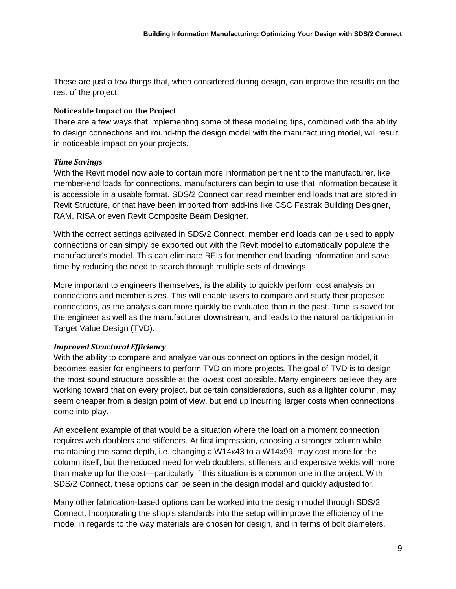These are just a few things that, when considered during design, can improve the results on the rest of the project.

#### **Noticeable Impact on the Project**

There are a few ways that implementing some of these modeling tips, combined with the ability to design connections and round-trip the design model with the manufacturing model, will result in noticeable impact on your projects.

# *Time Savings*

With the Revit model now able to contain more information pertinent to the manufacturer, like member-end loads for connections, manufacturers can begin to use that information because it is accessible in a usable format. SDS/2 Connect can read member end loads that are stored in Revit Structure, or that have been imported from add-ins like CSC Fastrak Building Designer, RAM, RISA or even Revit Composite Beam Designer.

With the correct settings activated in SDS/2 Connect, member end loads can be used to apply connections or can simply be exported out with the Revit model to automatically populate the manufacturer's model. This can eliminate RFIs for member end loading information and save time by reducing the need to search through multiple sets of drawings.

More important to engineers themselves, is the ability to quickly perform cost analysis on connections and member sizes. This will enable users to compare and study their proposed connections, as the analysis can more quickly be evaluated than in the past. Time is saved for the engineer as well as the manufacturer downstream, and leads to the natural participation in Target Value Design (TVD).

# *Improved Structural Efficiency*

With the ability to compare and analyze various connection options in the design model, it becomes easier for engineers to perform TVD on more projects. The goal of TVD is to design the most sound structure possible at the lowest cost possible. Many engineers believe they are working toward that on every project, but certain considerations, such as a lighter column, may seem cheaper from a design point of view, but end up incurring larger costs when connections come into play.

An excellent example of that would be a situation where the load on a moment connection requires web doublers and stiffeners. At first impression, choosing a stronger column while maintaining the same depth, i.e. changing a W14x43 to a W14x99, may cost more for the column itself, but the reduced need for web doublers, stiffeners and expensive welds will more than make up for the cost—particularly if this situation is a common one in the project. With SDS/2 Connect, these options can be seen in the design model and quickly adjusted for.

Many other fabrication-based options can be worked into the design model through SDS/2 Connect. Incorporating the shop's standards into the setup will improve the efficiency of the model in regards to the way materials are chosen for design, and in terms of bolt diameters,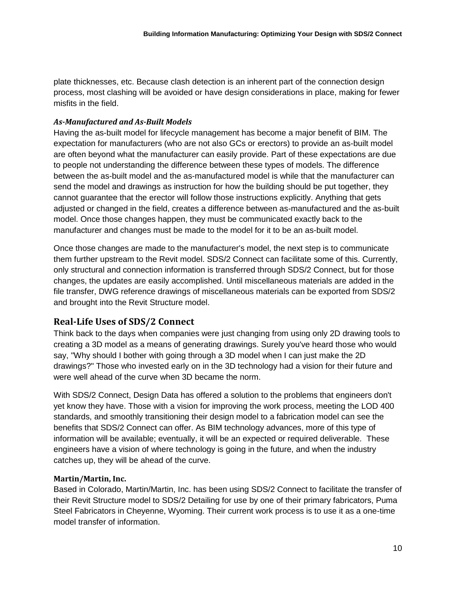plate thicknesses, etc. Because clash detection is an inherent part of the connection design process, most clashing will be avoided or have design considerations in place, making for fewer misfits in the field.

#### *As-Manufactured and As-Built Models*

Having the as-built model for lifecycle management has become a major benefit of BIM. The expectation for manufacturers (who are not also GCs or erectors) to provide an as-built model are often beyond what the manufacturer can easily provide. Part of these expectations are due to people not understanding the difference between these types of models. The difference between the as-built model and the as-manufactured model is while that the manufacturer can send the model and drawings as instruction for how the building should be put together, they cannot guarantee that the erector will follow those instructions explicitly. Anything that gets adjusted or changed in the field, creates a difference between as-manufactured and the as-built model. Once those changes happen, they must be communicated exactly back to the manufacturer and changes must be made to the model for it to be an as-built model.

Once those changes are made to the manufacturer's model, the next step is to communicate them further upstream to the Revit model. SDS/2 Connect can facilitate some of this. Currently, only structural and connection information is transferred through SDS/2 Connect, but for those changes, the updates are easily accomplished. Until miscellaneous materials are added in the file transfer, DWG reference drawings of miscellaneous materials can be exported from SDS/2 and brought into the Revit Structure model.

# **Real-Life Uses of SDS/2 Connect**

Think back to the days when companies were just changing from using only 2D drawing tools to creating a 3D model as a means of generating drawings. Surely you've heard those who would say, "Why should I bother with going through a 3D model when I can just make the 2D drawings?" Those who invested early on in the 3D technology had a vision for their future and were well ahead of the curve when 3D became the norm.

With SDS/2 Connect, Design Data has offered a solution to the problems that engineers don't yet know they have. Those with a vision for improving the work process, meeting the LOD 400 standards, and smoothly transitioning their design model to a fabrication model can see the benefits that SDS/2 Connect can offer. As BIM technology advances, more of this type of information will be available; eventually, it will be an expected or required deliverable. These engineers have a vision of where technology is going in the future, and when the industry catches up, they will be ahead of the curve.

# **Martin/Martin, Inc.**

Based in Colorado, Martin/Martin, Inc. has been using SDS/2 Connect to facilitate the transfer of their Revit Structure model to SDS/2 Detailing for use by one of their primary fabricators, Puma Steel Fabricators in Cheyenne, Wyoming. Their current work process is to use it as a one-time model transfer of information.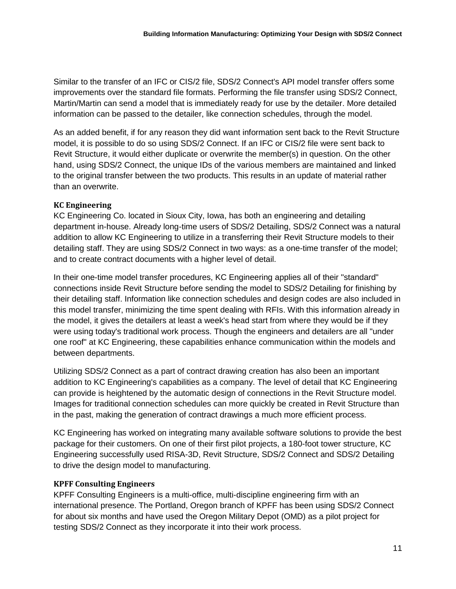Similar to the transfer of an IFC or CIS/2 file, SDS/2 Connect's API model transfer offers some improvements over the standard file formats. Performing the file transfer using SDS/2 Connect, Martin/Martin can send a model that is immediately ready for use by the detailer. More detailed information can be passed to the detailer, like connection schedules, through the model.

As an added benefit, if for any reason they did want information sent back to the Revit Structure model, it is possible to do so using SDS/2 Connect. If an IFC or CIS/2 file were sent back to Revit Structure, it would either duplicate or overwrite the member(s) in question. On the other hand, using SDS/2 Connect, the unique IDs of the various members are maintained and linked to the original transfer between the two products. This results in an update of material rather than an overwrite.

#### **KC Engineering**

KC Engineering Co. located in Sioux City, Iowa, has both an engineering and detailing department in-house. Already long-time users of SDS/2 Detailing, SDS/2 Connect was a natural addition to allow KC Engineering to utilize in a transferring their Revit Structure models to their detailing staff. They are using SDS/2 Connect in two ways: as a one-time transfer of the model; and to create contract documents with a higher level of detail.

In their one-time model transfer procedures, KC Engineering applies all of their "standard" connections inside Revit Structure before sending the model to SDS/2 Detailing for finishing by their detailing staff. Information like connection schedules and design codes are also included in this model transfer, minimizing the time spent dealing with RFIs. With this information already in the model, it gives the detailers at least a week's head start from where they would be if they were using today's traditional work process. Though the engineers and detailers are all "under one roof" at KC Engineering, these capabilities enhance communication within the models and between departments.

Utilizing SDS/2 Connect as a part of contract drawing creation has also been an important addition to KC Engineering's capabilities as a company. The level of detail that KC Engineering can provide is heightened by the automatic design of connections in the Revit Structure model. Images for traditional connection schedules can more quickly be created in Revit Structure than in the past, making the generation of contract drawings a much more efficient process.

KC Engineering has worked on integrating many available software solutions to provide the best package for their customers. On one of their first pilot projects, a 180-foot tower structure, KC Engineering successfully used RISA-3D, Revit Structure, SDS/2 Connect and SDS/2 Detailing to drive the design model to manufacturing.

# **KPFF Consulting Engineers**

KPFF Consulting Engineers is a multi-office, multi-discipline engineering firm with an international presence. The Portland, Oregon branch of KPFF has been using SDS/2 Connect for about six months and have used the Oregon Military Depot (OMD) as a pilot project for testing SDS/2 Connect as they incorporate it into their work process.